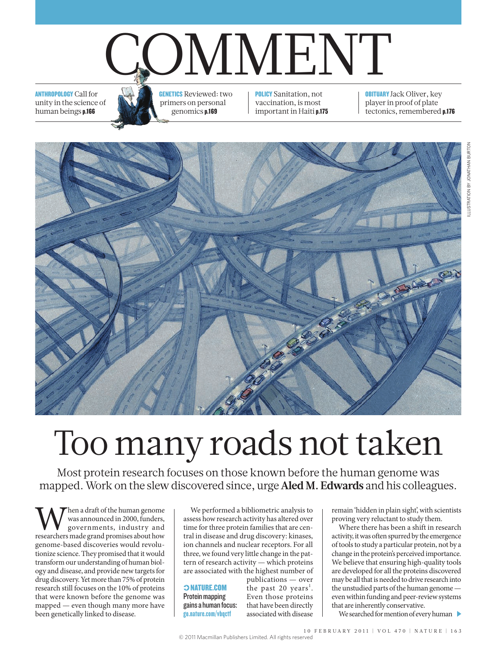# OMMENT

**ANTHROPOLOGY Call for** unity in the science of human beings p.166



**GENETICS** Reviewed: two primers on personal genomics p.169

**POLICY** Sanitation, not vaccination, is most important in Haiti p.175

**OBITUARY** Jack Oliver, key player in proof of plate tectonics, remembered p.176



## Too many roads not taken

Most protein research focuses on those known before the human genome was mapped. Work on the slew discovered since, urge **Aled M. Edwards** and his colleagues.

When a draft of the human genome<br>governments, industry and<br>researchers made grand promises about how was announced in 2000, funders, governments, industry and genome-based discoveries would revolutionize science. They promised that it would transform our understanding of human biology and disease, and provide new targets for drug discovery. Yet more than 75% of protein research still focuses on the 10% of proteins that were known before the genome was mapped — even though many more have been genetically linked to disease.

We performed a bibliometric analysis to assess how research activity has altered over time for three protein families that are central in disease and drug discovery: kinases, ion channels and nuclear receptors. For all three, we found very little change in the pattern of research activity — which proteins are associated with the highest number of

nature.com Protein mapping gains a human focus: go.nature.com/vbqctf

publications — over the past 20 years<sup>1</sup>. Even those proteins that have been directly associated with disease remain 'hidden in plain sight', with scientists proving very reluctant to study them.

Where there has been a shift in research activity, it was often spurred by the emergence of tools to study a particular protein, not by a change in the protein's perceived importance. We believe that ensuring high-quality tools are developed for all the proteins discovered may be all that is needed to drive research into the unstudied parts of the human genome even within funding and peer-review systems that are inherently conservative.

We searched for mention of every human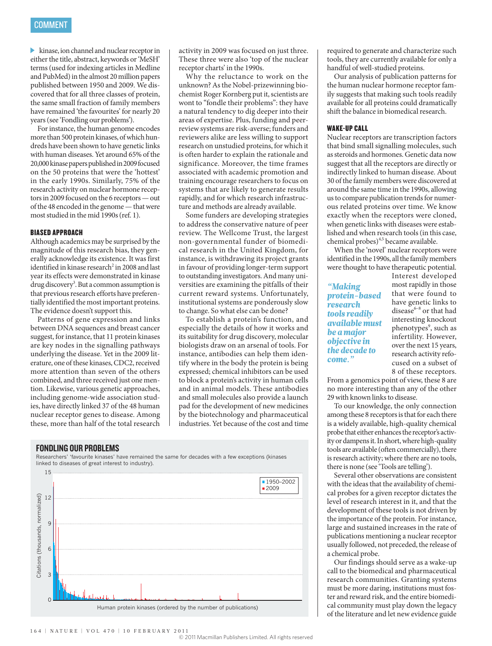kinase, ion channel and nuclear receptor in either the title, abstract, keywords or 'MeSH' terms (used for indexing articles in Medline and PubMed) in the almost 20 million papers published between 1950 and 2009. We discovered that for all three classes of protein, the same small fraction of family members have remained 'the favourites' for nearly 20 years (see 'Fondling our problems').

For instance, the human genome encodes more than 500 protein kinases, of which hundreds have been shown to have genetic links with human diseases. Yet around 65% of the 20,000 kinase papers published in 2009 focused on the 50 proteins that were the 'hottest' in the early 1990s. Similarly, 75% of the research activity on nuclear hormone receptors in 2009 focused on the 6 receptors — out of the 48 encoded in the genome — that were most studied in the mid 1990s (ref. 1).

### biased approacH

Although academics may be surprised by the magnitude of this research bias, they generally acknowledge its existence. It was first identified in kinase research $^2$  in 2008 and last year its effects were demonstrated in kinase drug discovery<sup>3</sup>. But a common assumption is that previous research efforts have preferentially identified the most important proteins. The evidence doesn't support this.

Patterns of gene expression and links between DNA sequences and breast cancer suggest, for instance, that 11 protein kinases are key nodes in the signalling pathways underlying the disease. Yet in the 2009 literature, one of these kinases, CDC2, received more attention than seven of the others combined, and three received just one mention. Likewise, various genetic approaches, including genome-wide association studies, have directly linked 37 of the 48 human nuclear receptor genes to disease. Among these, more than half of the total research activity in 2009 was focused on just three. These three were also 'top of the nuclear receptor charts' in the 1990s.

Why the reluctance to work on the unknown? As the Nobel-prizewinning biochemist Roger Kornberg put it, scientists are wont to "fondle their problems": they have a natural tendency to dig deeper into their areas of expertise. Plus, funding and peerreview systems are risk-averse; funders and reviewers alike are less willing to support research on unstudied proteins, for which it is often harder to explain the rationale and significance. Moreover, the time frames associated with academic promotion and training encourage researchers to focus on systems that are likely to generate results rapidly, and for which research infrastructure and methods are already available.

Some funders are developing strategies to address the conservative nature of peer review. The Wellcome Trust, the largest non-governmental funder of biomedical research in the United Kingdom, for instance, is withdrawing its project grants in favour of providing longer-term support to outstanding investigators. And many universities are examining the pitfalls of their current reward systems. Unfortunately, institutional systems are ponderously slow to change. So what else can be done?

To establish a protein's function, and especially the details of how it works and its suitability for drug discovery, molecular biologists draw on an arsenal of tools. For instance, antibodies can help them identify where in the body the protein is being expressed; chemical inhibitors can be used to block a protein's activity in human cells and in animal models. These antibodies and small molecules also provide a launch pad for the development of new medicines by the biotechnology and pharmaceutical industries. Yet because of the cost and time

## FONDLING OUR PROBLEMS

Researchers' 'favourite kinases' have remained the same for decades with a few exceptions (kinases linked to diseases of great interest to industry).



required to generate and characterize such tools, they are currently available for only a handful of well-studied proteins.

Our analysis of publication patterns for the human nuclear hormone receptor family suggests that making such tools readily available for all proteins could dramatically shift the balance in biomedical research.

### wake-up call

Nuclear receptors are transcription factors that bind small signalling molecules, such as steroids and hormones. Genetic data now suggest that all the receptors are directly or indirectly linked to human disease. About 30 of the family members were discovered at around the same time in the 1990s, allowing us to compare publication trends for numerous related proteins over time. We know exactly when the receptors were cloned, when genetic links with diseases were established and when research tools (in this case, chemical probes)<sup>4,5</sup> became available.

When the 'novel' nuclear receptors were identified in the 1990s, all the family members were thought to have therapeutic potential.

*"Making protein-based research tools readily available must be a major objective in the decade to come."*

Interest developed most rapidly in those that were found to have genetic links to disease<sup>6-8</sup> or that had interesting knockout phenotypes<sup>9</sup>, such as infertility. However, over the next 15 years, research activity refocused on a subset of 8 of these receptors.

From a genomics point of view, these 8 are no more interesting than any of the other 29 with known links to disease.

To our knowledge, the only connection among these 8 receptors is that for each there is a widely available, high-quality chemical probe that either enhances the receptor's activity or dampens it. In short, where high-quality tools are available (often commercially), there is research activity; where there are no tools, there is none (see 'Tools are telling').

Several other observations are consistent with the ideas that the availability of chemical probes for a given receptor dictates the level of research interest in it, and that the development of these tools is not driven by the importance of the protein. For instance, large and sustained increases in the rate of publications mentioning a nuclear receptor usually followed, not preceded, the release of a chemical probe.

Our findings should serve as a wake-up call to the biomedical and pharmaceutical research communities. Granting systems must be more daring, institutions must foster and reward risk, and the entire biomedical community must play down the legacy of the literature and let new evidence guide